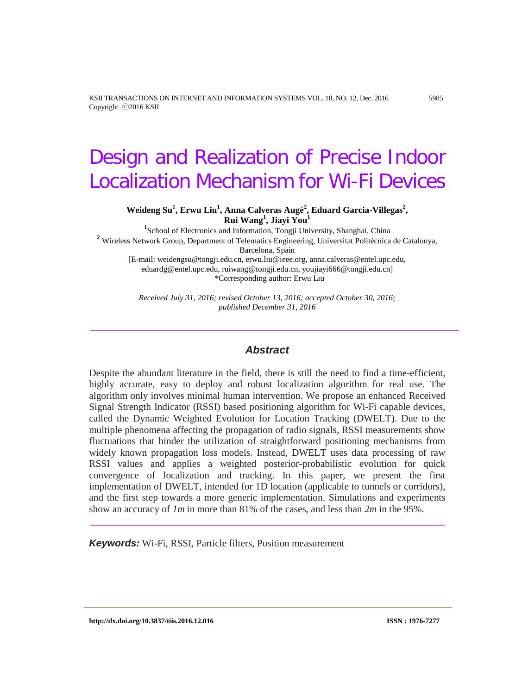KSII TRANSACTIONS ON INTERNET AND INFORMATION SYSTEMS VOL. 10, NO. 12, Dec. 2016 5985 Copyright ⓒ2016 KSII

# Design and Realization of Precise Indoor Localization Mechanism for Wi-Fi Devices

Weideng Su<sup>1</sup>, Erwu Liu<sup>1</sup>, Anna Calveras Augé<sup>2</sup>, Eduard Garcia-Villegas<sup>2</sup>, **Rui Wang<sup>1</sup> , Jiayi You1**

<sup>1</sup>School of Electronics and Information, Tongji University, Shanghai, China <sup>2</sup> Wireless Network Group, Department of Telematics Engineering, Universitat Politècnica de Catalunya, Barcelona, Spain [E-mail: weidengsu@tongji.edu.cn, erwu.liu@ieee.org, anna.calveras@entel.upc.edu, eduardg@entel.upc.edu, ruiwang@tongji.edu.cn, youjiayi666@tongji.edu.cn] \*Corresponding author: Erwu Liu

> *Received July 31, 2016; revised October 13, 2016; accepted October 30, 2016; published December 31, 2016*

# *Abstract*

Despite the abundant literature in the field, there is still the need to find a time-efficient, highly accurate, easy to deploy and robust localization algorithm for real use. The algorithm only involves minimal human intervention. We propose an enhanced Received Signal Strength Indicator (RSSI) based positioning algorithm for Wi-Fi capable devices, called the Dynamic Weighted Evolution for Location Tracking (DWELT). Due to the multiple phenomena affecting the propagation of radio signals, RSSI measurements show fluctuations that hinder the utilization of straightforward positioning mechanisms from widely known propagation loss models. Instead, DWELT uses data processing of raw RSSI values and applies a weighted posterior-probabilistic evolution for quick convergence of localization and tracking. In this paper, we present the first implementation of DWELT, intended for 1D location (applicable to tunnels or corridors), and the first step towards a more generic implementation. Simulations and experiments show an accuracy of *1m* in more than 81% of the cases, and less than *2m* in the 95%.

*Keywords:* Wi-Fi, RSSI, Particle filters, Position measurement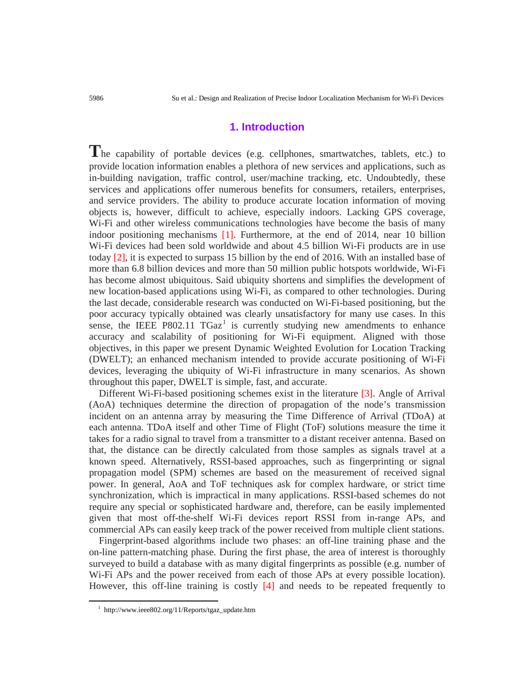# **1. Introduction**

**T**he capability of portable devices (e.g. cellphones, smartwatches, tablets, etc.) to provide location information enables a plethora of new services and applications, such as in-building navigation, traffic control, user/machine tracking, etc. Undoubtedly, these services and applications offer numerous benefits for consumers, retailers, enterprises, and service providers. The ability to produce accurate location information of moving objects is, however, difficult to achieve, especially indoors. Lacking GPS coverage, Wi-Fi and other wireless communications technologies have become the basis of many indoor positioning mechanisms [1]. Furthermore, at the end of 2014, near 10 billion Wi-Fi devices had been sold worldwide and about 4.5 billion Wi-Fi products are in use today [2], it is expected to surpass 15 billion by the end of 2016. With an installed base of more than 6.8 billion devices and more than 50 million public hotspots worldwide, Wi-Fi has become almost ubiquitous. Said ubiquity shortens and simplifies the development of new location-based applications using Wi-Fi, as compared to other technologies. During the last decade, considerable research was conducted on Wi-Fi-based positioning, but the poor accuracy typically obtained was clearly unsatisfactory for many use cases. In this sense, the IEEE P802.[1](#page-1-0)1  $TGaz^1$  is currently studying new amendments to enhance accuracy and scalability of positioning for Wi-Fi equipment. Aligned with those objectives, in this paper we present Dynamic Weighted Evolution for Location Tracking (DWELT); an enhanced mechanism intended to provide accurate positioning of Wi-Fi devices, leveraging the ubiquity of Wi-Fi infrastructure in many scenarios. As shown throughout this paper, DWELT is simple, fast, and accurate.

 Different Wi-Fi-based positioning schemes exist in the literature [3]. Angle of Arrival (AoA) techniques determine the direction of propagation of the node's transmission incident on an antenna array by measuring the Time Difference of Arrival (TDoA) at each antenna. TDoA itself and other Time of Flight (ToF) solutions measure the time it takes for a radio signal to travel from a transmitter to a distant receiver antenna. Based on that, the distance can be directly calculated from those samples as signals travel at a known speed. Alternatively, RSSI-based approaches, such as fingerprinting or signal propagation model (SPM) schemes are based on the measurement of received signal power. In general, AoA and ToF techniques ask for complex hardware, or strict time synchronization, which is impractical in many applications. RSSI-based schemes do not require any special or sophisticated hardware and, therefore, can be easily implemented given that most off-the-shelf Wi-Fi devices report RSSI from in-range APs, and commercial APs can easily keep track of the power received from multiple client stations.

 Fingerprint-based algorithms include two phases: an off-line training phase and the on-line pattern-matching phase. During the first phase, the area of interest is thoroughly surveyed to build a database with as many digital fingerprints as possible (e.g. number of Wi-Fi APs and the power received from each of those APs at every possible location). However, this off-line training is costly [4] and needs to be repeated frequently to

<span id="page-1-0"></span>l

<sup>1</sup> http://www.ieee802.org/11/Reports/tgaz\_update.htm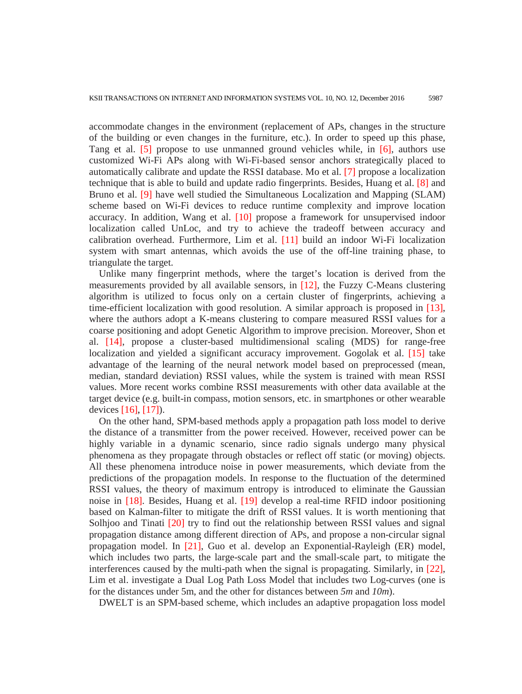accommodate changes in the environment (replacement of APs, changes in the structure of the building or even changes in the furniture, etc.). In order to speed up this phase, Tang et al. [5] propose to use unmanned ground vehicles while, in [6], authors use customized Wi-Fi APs along with Wi-Fi-based sensor anchors strategically placed to automatically calibrate and update the RSSI database. Mo et al. [7] propose a localization technique that is able to build and update radio fingerprints. Besides, Huang et al. [8] and Bruno et al. [9] have well studied the Simultaneous Localization and Mapping (SLAM) scheme based on Wi-Fi devices to reduce runtime complexity and improve location accuracy. In addition, Wang et al. [10] propose a framework for unsupervised indoor localization called UnLoc, and try to achieve the tradeoff between accuracy and calibration overhead. Furthermore, Lim et al. [11] build an indoor Wi-Fi localization system with smart antennas, which avoids the use of the off-line training phase, to triangulate the target.

Unlike many fingerprint methods, where the target's location is derived from the measurements provided by all available sensors, in [12], the Fuzzy C-Means clustering algorithm is utilized to focus only on a certain cluster of fingerprints, achieving a time-efficient localization with good resolution. A similar approach is proposed in [13], where the authors adopt a K-means clustering to compare measured RSSI values for a coarse positioning and adopt Genetic Algorithm to improve precision. Moreover, Shon et al. [14], propose a cluster-based multidimensional scaling (MDS) for range-free localization and yielded a significant accuracy improvement. Gogolak et al. [15] take advantage of the learning of the neural network model based on preprocessed (mean, median, standard deviation) RSSI values, while the system is trained with mean RSSI values. More recent works combine RSSI measurements with other data available at the target device (e.g. built-in compass, motion sensors, etc. in smartphones or other wearable devices [16], [17]).

On the other hand, SPM-based methods apply a propagation path loss model to derive the distance of a transmitter from the power received. However, received power can be highly variable in a dynamic scenario, since radio signals undergo many physical phenomena as they propagate through obstacles or reflect off static (or moving) objects. All these phenomena introduce noise in power measurements, which deviate from the predictions of the propagation models. In response to the fluctuation of the determined RSSI values, the theory of maximum entropy is introduced to eliminate the Gaussian noise in [18]. Besides, Huang et al. [19] develop a real-time RFID indoor positioning based on Kalman-filter to mitigate the drift of RSSI values. It is worth mentioning that Solhjoo and Tinati [20] try to find out the relationship between RSSI values and signal propagation distance among different direction of APs, and propose a non-circular signal propagation model. In [21], Guo et al. develop an Exponential-Rayleigh (ER) model, which includes two parts, the large-scale part and the small-scale part, to mitigate the interferences caused by the multi-path when the signal is propagating. Similarly, in [22], Lim et al. investigate a Dual Log Path Loss Model that includes two Log-curves (one is for the distances under 5m, and the other for distances between *5m* and *10m*).

DWELT is an SPM-based scheme, which includes an adaptive propagation loss model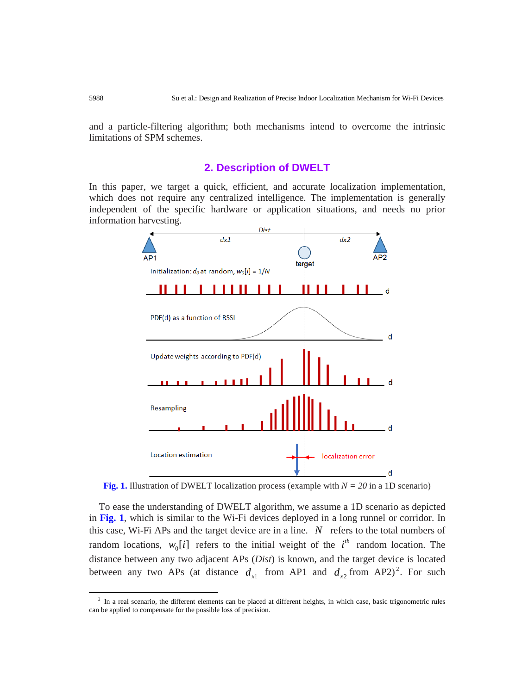and a particle-filtering algorithm; both mechanisms intend to overcome the intrinsic limitations of SPM schemes.

# **2. Description of DWELT**

In this paper, we target a quick, efficient, and accurate localization implementation, which does not require any centralized intelligence. The implementation is generally independent of the specific hardware or application situations, and needs no prior information harvesting.



**Fig. 1.** Illustration of DWELT localization process (example with  $N = 20$  in a 1D scenario)

To ease the understanding of DWELT algorithm, we assume a 1D scenario as depicted in **Fig. 1**, which is similar to the Wi-Fi devices deployed in a long runnel or corridor. In this case, Wi-Fi APs and the target device are in a line. *N* refers to the total numbers of random locations,  $w_0[i]$  refers to the initial weight of the  $i^{th}$  random location. The distance between any two adjacent APs (*Dist*) is known, and the target device is located between any two APs (at distance  $d_{x1}$  from AP1 and  $d_{x2}$  $d_{x2}$  $d_{x2}$  from AP2)<sup>2</sup>. For such

 $\overline{a}$ 

<span id="page-3-0"></span><sup>&</sup>lt;sup>2</sup> In a real scenario, the different elements can be placed at different heights, in which case, basic trigonometric rules can be applied to compensate for the possible loss of precision.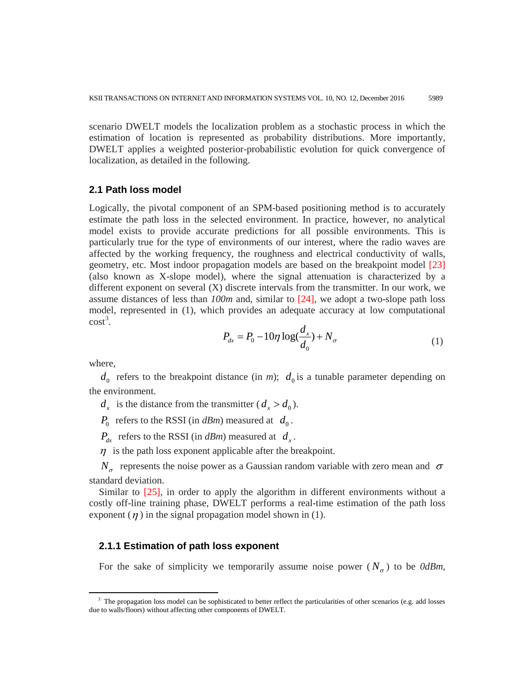scenario DWELT models the localization problem as a stochastic process in which the estimation of location is represented as probability distributions. More importantly, DWELT applies a weighted posterior-probabilistic evolution for quick convergence of localization, as detailed in the following.

## **2.1 Path loss model**

Logically, the pivotal component of an SPM-based positioning method is to accurately estimate the path loss in the selected environment. In practice, however, no analytical model exists to provide accurate predictions for all possible environments. This is particularly true for the type of environments of our interest, where the radio waves are affected by the working frequency, the roughness and electrical conductivity of walls, geometry, etc. Most indoor propagation models are based on the breakpoint model [23] (also known as X-slope model), where the signal attenuation is characterized by a different exponent on several (X) discrete intervals from the transmitter. In our work, we assume distances of less than *100m* and, similar to [24], we adopt a two-slope path loss model, represented in (1), which provides an adequate accuracy at low computational  $\cot^3$  $\cot^3$ .

$$
P_{dx} = P_0 - 10\eta \log(\frac{d_x}{d_0}) + N_\sigma \tag{1}
$$

where,

 $\overline{a}$ 

 $d_0$  refers to the breakpoint distance (in *m*);  $d_0$  is a tunable parameter depending on the environment.

 $d_x$  is the distance from the transmitter  $(d_x > d_0)$ .

 $P_0$  refers to the RSSI (in *dBm*) measured at  $d_0$ .

 $P_{dx}$  refers to the RSSI (in *dBm*) measured at  $d_{x}$ .

 $\eta$  is the path loss exponent applicable after the breakpoint.

 $N_{\sigma}$  represents the noise power as a Gaussian random variable with zero mean and  $\sigma$ standard deviation.

Similar to [25], in order to apply the algorithm in different environments without a costly off-line training phase, DWELT performs a real-time estimation of the path loss exponent  $(\eta)$  in the signal propagation model shown in (1).

## **2.1.1 Estimation of path loss exponent**

For the sake of simplicity we temporarily assume noise power  $(N_{\sigma})$  to be *0dBm*,

<span id="page-4-0"></span><sup>&</sup>lt;sup>3</sup> The propagation loss model can be sophisticated to better reflect the particularities of other scenarios (e.g. add losses due to walls/floors) without affecting other components of DWELT.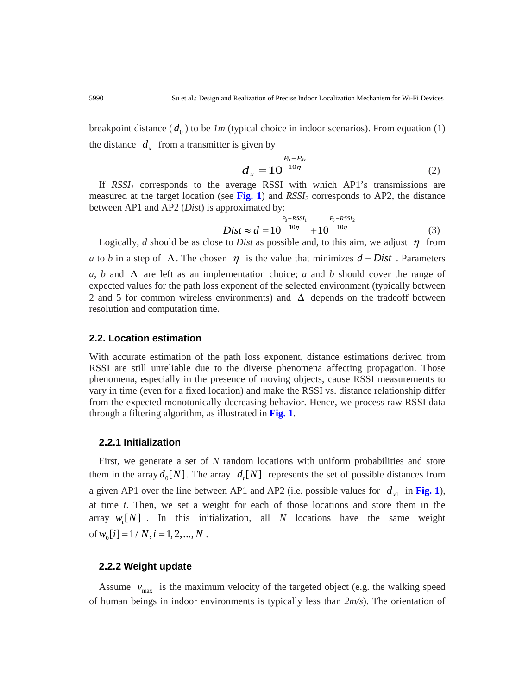breakpoint distance  $(d_0)$  to be *1m* (typical choice in indoor scenarios). From equation (1) the distance  $d_x$  from a transmitter is given by

$$
d_x = 10^{\frac{P_0 - P_{dx}}{10\eta}}
$$
 (2)

If  $RSSI<sub>1</sub>$  corresponds to the average RSSI with which AP1's transmissions are measured at the target location (see **Fig. 1**) and *RSSI2* corresponds to AP2, the distance between AP1 and AP2 (*Dist*) is approximated by:

$$
Dist \approx d = 10^{\frac{P_0 - RSSI_1}{10\eta}} + 10^{\frac{P_0 - RSSI_2}{10\eta}}
$$
(3)

Logically, *d* should be as close to *Dist* as possible and, to this aim, we adjust  $\eta$  from *a* to *b* in a step of  $\Delta$ . The chosen  $\eta$  is the value that minimizes  $\left| d - Dist \right|$ . Parameters *a*, *b* and  $\Delta$  are left as an implementation choice; *a* and *b* should cover the range of expected values for the path loss exponent of the selected environment (typically between 2 and 5 for common wireless environments) and  $\Delta$  depends on the tradeoff between resolution and computation time.

### **2.2. Location estimation**

With accurate estimation of the path loss exponent, distance estimations derived from RSSI are still unreliable due to the diverse phenomena affecting propagation. Those phenomena, especially in the presence of moving objects, cause RSSI measurements to vary in time (even for a fixed location) and make the RSSI vs. distance relationship differ from the expected monotonically decreasing behavior. Hence, we process raw RSSI data through a filtering algorithm, as illustrated in **Fig. 1**.

# **2.2.1 Initialization**

First, we generate a set of *N* random locations with uniform probabilities and store them in the array  $d_0[N]$ . The array  $d_r[N]$  represents the set of possible distances from a given AP1 over the line between AP1 and AP2 (i.e. possible values for  $d_{r1}$  in Fig. 1), at time *t*. Then, we set a weight for each of those locations and store them in the array  $w_t[N]$ . In this initialization, all *N* locations have the same weight of  $w_0[i] = 1/N$ ,  $i = 1, 2, ..., N$ .

# **2.2.2 Weight update**

Assume  $v_{\text{max}}$  is the maximum velocity of the targeted object (e.g. the walking speed of human beings in indoor environments is typically less than *2m/s*). The orientation of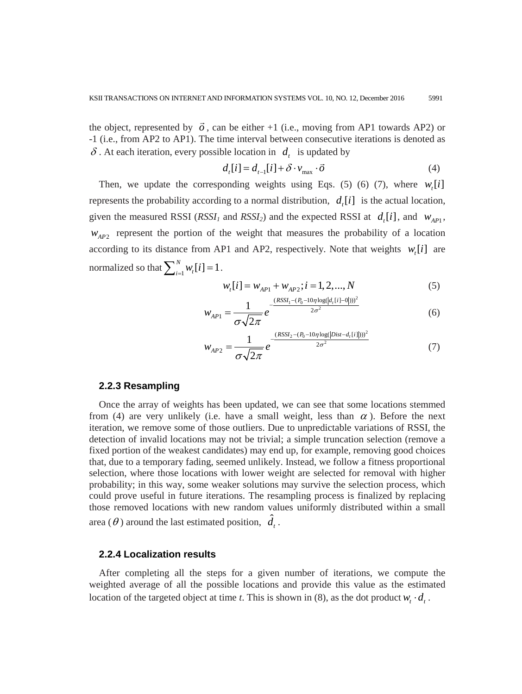the object, represented by  $\vec{o}$ , can be either +1 (i.e., moving from AP1 towards AP2) or -1 (i.e., from AP2 to AP1). The time interval between consecutive iterations is denoted as  $\delta$ . At each iteration, every possible location in  $d_i$  is updated by

$$
d_{t}[i] = d_{t-1}[i] + \delta \cdot v_{\text{max}} \cdot \vec{o}
$$
 (4)

Then, we update the corresponding weights using Eqs. (5) (6) (7), where  $w_i[i]$ represents the probability according to a normal distribution,  $d_{i}[i]$  is the actual location, given the measured RSSI ( $RSSI_1$  and  $RSSI_2$ ) and the expected RSSI at  $d_r[i]$ , and  $w_{AP1}$ ,  $W_{AP2}$  represent the portion of the weight that measures the probability of a location according to its distance from AP1 and AP2, respectively. Note that weights  $w<sub>i</sub>[ i ]$  are normalized so that  $\sum_{i=1}^{N} w_i[i] = 1$ .

$$
w_{i}[i] = w_{AP1} + w_{AP2}; i = 1, 2, ..., N
$$
 (5)

$$
w_{AP1} = \frac{1}{\sigma \sqrt{2\pi}} e^{-\frac{(RSSI_1 - (P_0 - 10\eta \log(|d_r[i] - 0]))^2}{2\sigma^2}}
$$
(6)

$$
w_{AP2} = \frac{1}{\sigma \sqrt{2\pi}} e^{-\frac{(RSSI_2 - (P_0 - 10\eta \log(|Dist - d_t[i]]))^2}{2\sigma^2}}
$$
(7)

## **2.2.3 Resampling**

Once the array of weights has been updated, we can see that some locations stemmed from (4) are very unlikely (i.e. have a small weight, less than  $\alpha$ ). Before the next iteration, we remove some of those outliers. Due to unpredictable variations of RSSI, the detection of invalid locations may not be trivial; a simple truncation selection (remove a fixed portion of the weakest candidates) may end up, for example, removing good choices that, due to a temporary fading, seemed unlikely. Instead, we follow a fitness proportional selection, where those locations with lower weight are selected for removal with higher probability; in this way, some weaker solutions may survive the selection process, which could prove useful in future iterations. The resampling process is finalized by replacing those removed locations with new random values uniformly distributed within a small area ( $\theta$ ) around the last estimated position,  $\hat{d}_{t}$ .

# **2.2.4 Localization results**

After completing all the steps for a given number of iterations, we compute the weighted average of all the possible locations and provide this value as the estimated location of the targeted object at time *t*. This is shown in (8), as the dot product  $w_t \cdot d_t$ .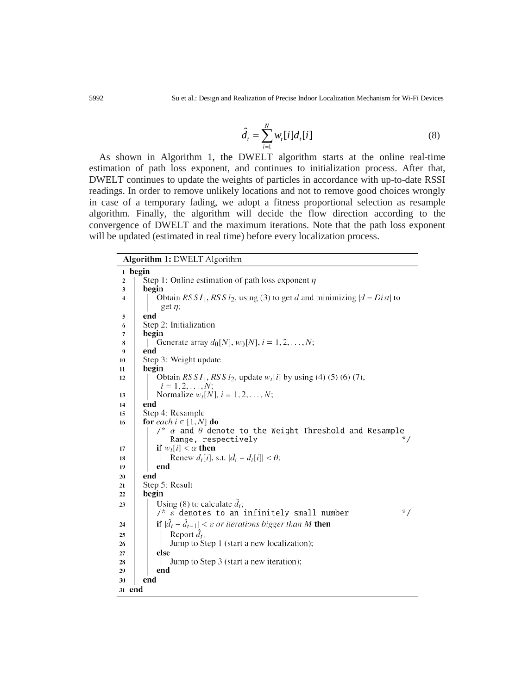$$
\hat{d}_t = \sum_{i=1}^{N} w_i[i] d_t[i] \tag{8}
$$

As shown in Algorithm 1, the DWELT algorithm starts at the online real-time estimation of path loss exponent, and continues to initialization process. After that, DWELT continues to update the weights of particles in accordance with up-to-date RSSI readings. In order to remove unlikely locations and not to remove good choices wrongly in case of a temporary fading, we adopt a fitness proportional selection as resample algorithm. Finally, the algorithm will decide the flow direction according to the convergence of DWELT and the maximum iterations. Note that the path loss exponent will be updated (estimated in real time) before every localization process.

|          | Algorithm 1: DWELT Algorithm                                                                |
|----------|---------------------------------------------------------------------------------------------|
|          | 1 begin                                                                                     |
| 2        | Step 1: Online estimation of path loss exponent $\eta$                                      |
| 3        | begin                                                                                       |
| 4        | Obtain $RSSI_1$ , $RSSI_2$ , using (3) to get d and minimizing $ d - Dist $ to              |
|          | get $\eta$ ;                                                                                |
| 5        | end                                                                                         |
| 6        | Step 2: Initialization                                                                      |
| 7        | begin                                                                                       |
| 8        | Generate array $d_0[N], w_0[N], i = 1, 2, , N;$                                             |
| 9        | end                                                                                         |
| 10       | Step 3: Weight update                                                                       |
| 11       | begin                                                                                       |
| 12       | Obtain $RSSI_1$ , $RSSI_2$ , update $w_t[i]$ by using (4) (5) (6) (7),                      |
|          | $i = 1, 2, \ldots, N$ ;                                                                     |
| 13       | Normalize $w_t[N]$ , $i = 1, 2, \ldots, N$ ;                                                |
| 14       | end                                                                                         |
| 15       | Step 4: Resample                                                                            |
| 16       | for each $i \in [1, N]$ do                                                                  |
|          | /* $\alpha$ and $\theta$ denote to the Weight Threshold and Resample<br>Range, respectively |
| 17       | if $w_t[i] < \alpha$ then                                                                   |
|          | Renew $d_t[i]$ , s.t. $ \bar{d}_t - d_t[i]  < \theta$ ;                                     |
| 18       | end                                                                                         |
| 19       | end                                                                                         |
| 20       | Step 5: Result                                                                              |
| 21<br>22 | begin                                                                                       |
|          |                                                                                             |
| 23       | Using (8) to calculate $\hat{d}_t$ ;<br>$*$ /                                               |
|          | $\frac{1}{2}$ $\frac{1}{2}$ denotes to an infinitely small number                           |
| 24       | if $ \hat{d}_t - \hat{d}_{t-1}  < \varepsilon$ or iterations bigger than M then             |
| 25       | Report $\hat{d}_t$ ;                                                                        |
| 26       | Jump to Step 1 (start a new localization);                                                  |
| 27       | else                                                                                        |
| 28       | Jump to Step 3 (start a new iteration);                                                     |
| 29       | end                                                                                         |
| 30       | end                                                                                         |
| 31 end   |                                                                                             |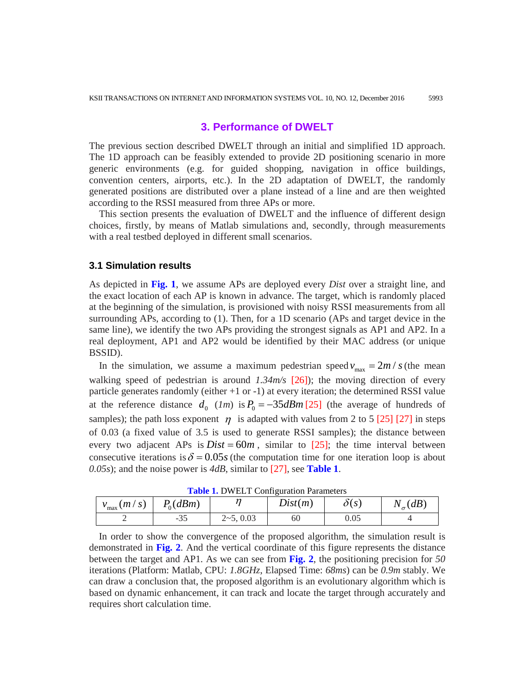# **3. Performance of DWELT**

The previous section described DWELT through an initial and simplified 1D approach. The 1D approach can be feasibly extended to provide 2D positioning scenario in more generic environments (e.g. for guided shopping, navigation in office buildings, convention centers, airports, etc.). In the 2D adaptation of DWELT, the randomly generated positions are distributed over a plane instead of a line and are then weighted according to the RSSI measured from three APs or more.

 This section presents the evaluation of DWELT and the influence of different design choices, firstly, by means of Matlab simulations and, secondly, through measurements with a real testbed deployed in different small scenarios.

## **3.1 Simulation results**

As depicted in **Fig. 1**, we assume APs are deployed every *Dist* over a straight line, and the exact location of each AP is known in advance. The target, which is randomly placed at the beginning of the simulation, is provisioned with noisy RSSI measurements from all surrounding APs, according to (1). Then, for a 1D scenario (APs and target device in the same line), we identify the two APs providing the strongest signals as AP1 and AP2. In a real deployment, AP1 and AP2 would be identified by their MAC address (or unique BSSID).

In the simulation, we assume a maximum pedestrian speed  $v_{\text{max}} = 2m / s$  (the mean walking speed of pedestrian is around *1.34m/s* [26]); the moving direction of every particle generates randomly (either +1 or -1) at every iteration; the determined RSSI value at the reference distance  $d_0$  (*1m*) is  $P_0 = -35 dBm$  [25] (the average of hundreds of samples); the path loss exponent  $\eta$  is adapted with values from 2 to 5 [25] [27] in steps of 0.03 (a fixed value of 3.5 is used to generate RSSI samples); the distance between every two adjacent APs is  $Dist = 60m$ , similar to [25]; the time interval between consecutive iterations is  $\delta = 0.05s$  (the computation time for one iteration loop is about *0.05s*); and the noise power is *4dB*, similar to [27], see **Table 1**.

| $\blacksquare$ $\blacksquare$ |            |                |         |      |                 |  |  |
|-------------------------------|------------|----------------|---------|------|-----------------|--|--|
| $v_{\text{max}}(m / s)$       | $P_0(dBm)$ |                | Dist(m) | O(S) | $\overline{dB}$ |  |  |
|                               | ر و-       | $2 - 5$ , 0.03 | 60      | 0.05 |                 |  |  |

**Table 1.** DWELT Configuration Parameters

In order to show the convergence of the proposed algorithm, the simulation result is demonstrated in **Fig. 2**. And the vertical coordinate of this figure represents the distance between the target and AP1. As we can see from **Fig. 2**, the positioning precision for *50* iterations (Platform: Matlab, CPU: *1.8GHz*, Elapsed Time: *68ms*) can be *0.9m* stably. We can draw a conclusion that, the proposed algorithm is an evolutionary algorithm which is based on dynamic enhancement, it can track and locate the target through accurately and requires short calculation time.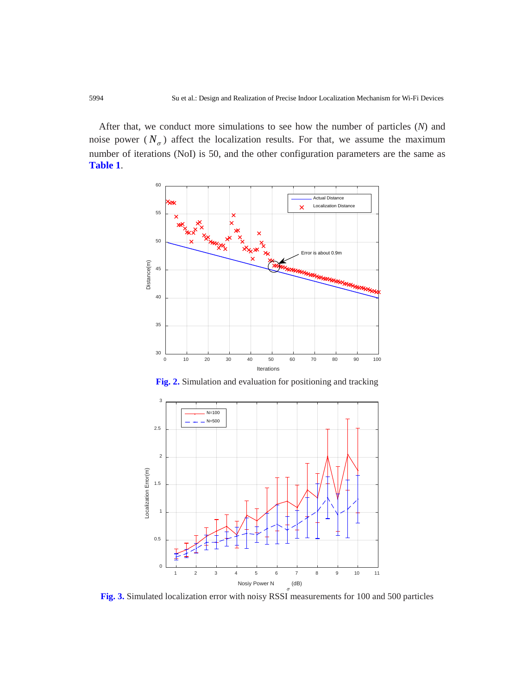After that, we conduct more simulations to see how the number of particles (*N*) and noise power  $(N_{\sigma})$  affect the localization results. For that, we assume the maximum number of iterations (NoI) is 50, and the other configuration parameters are the same as **Table 1**.



**Fig. 2.** Simulation and evaluation for positioning and tracking



**Fig. 3.** Simulated localization error with noisy RSSI measurements for 100 and 500 particles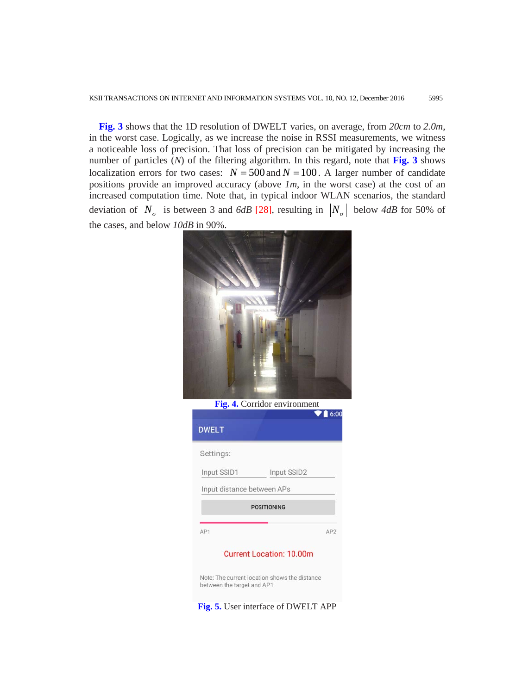**Fig. 3** shows that the 1D resolution of DWELT varies, on average, from *20cm* to *2.0m*, in the worst case. Logically, as we increase the noise in RSSI measurements, we witness a noticeable loss of precision. That loss of precision can be mitigated by increasing the number of particles (*N*) of the filtering algorithm. In this regard, note that **Fig. 3** shows localization errors for two cases:  $N = 500$  and  $N = 100$ . A larger number of candidate positions provide an improved accuracy (above *1m*, in the worst case) at the cost of an increased computation time. Note that, in typical indoor WLAN scenarios, the standard deviation of  $N_{\sigma}$  is between 3 and 6dB [28], resulting in  $|N_{\sigma}|$  below 4dB for 50% of the cases, and below *10dB* in 90%.



|                            | $\mathbf{F}_{\mathbf{S}}$ . $\mathbf{F}_{\mathbf{S}}$ . Compact changement | 6:00            |
|----------------------------|----------------------------------------------------------------------------|-----------------|
| <b>DWELT</b>               |                                                                            |                 |
| Settings:                  |                                                                            |                 |
| Input SSID1                | Input SSID2                                                                |                 |
| Input distance between APs |                                                                            |                 |
|                            | <b>POSITIONING</b>                                                         |                 |
| AP1                        |                                                                            | AP <sub>2</sub> |
|                            | <b>Current Location: 10.00m</b>                                            |                 |
| between the target and AP1 | Note: The current location shows the distance                              |                 |

**Fig. 5.** User interface of DWELT APP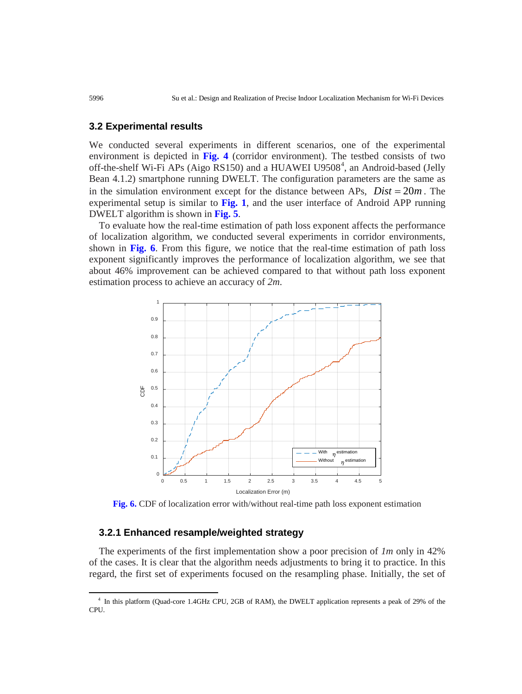# **3.2 Experimental results**

We conducted several experiments in different scenarios, one of the experimental environment is depicted in **Fig. 4** (corridor environment). The testbed consists of two off-the-shelf Wi-Fi APs (Aigo RS150) and a HUAWEI U9508<sup>[4](#page-11-0)</sup>, an Android-based (Jelly Bean 4.1.2) smartphone running DWELT. The configuration parameters are the same as in the simulation environment except for the distance between APs,  $Dist = 20m$ . The experimental setup is similar to **Fig. 1**, and the user interface of Android APP running DWELT algorithm is shown in **Fig. 5**.

To evaluate how the real-time estimation of path loss exponent affects the performance of localization algorithm, we conducted several experiments in corridor environments, shown in **Fig. 6**. From this figure, we notice that the real-time estimation of path loss exponent significantly improves the performance of localization algorithm, we see that about 46% improvement can be achieved compared to that without path loss exponent estimation process to achieve an accuracy of *2m*.



**Fig. 6.** CDF of localization error with/without real-time path loss exponent estimation

## **3.2.1 Enhanced resample/weighted strategy**

 The experiments of the first implementation show a poor precision of *1m* only in 42% of the cases. It is clear that the algorithm needs adjustments to bring it to practice. In this regard, the first set of experiments focused on the resampling phase. Initially, the set of

 $\overline{a}$ 

<span id="page-11-0"></span><sup>4</sup> In this platform (Quad-core 1.4GHz CPU, 2GB of RAM), the DWELT application represents a peak of 29% of the CPU.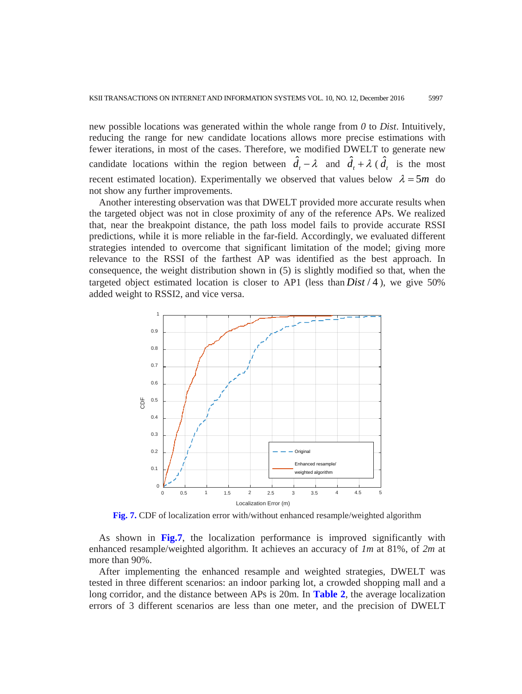new possible locations was generated within the whole range from *0* to *Dist*. Intuitively, reducing the range for new candidate locations allows more precise estimations with fewer iterations, in most of the cases. Therefore, we modified DWELT to generate new candidate locations within the region between  $\hat{d}_t - \lambda$  and  $\hat{d}_t + \lambda (\hat{d}_t)$  is the most recent estimated location). Experimentally we observed that values below  $\lambda = 5m$  do not show any further improvements.

Another interesting observation was that DWELT provided more accurate results when the targeted object was not in close proximity of any of the reference APs. We realized that, near the breakpoint distance, the path loss model fails to provide accurate RSSI predictions, while it is more reliable in the far-field. Accordingly, we evaluated different strategies intended to overcome that significant limitation of the model; giving more relevance to the RSSI of the farthest AP was identified as the best approach. In consequence, the weight distribution shown in (5) is slightly modified so that, when the targeted object estimated location is closer to AP1 (less than  $Dist/4$ ), we give 50% added weight to RSSI2, and vice versa.



**Fig. 7.** CDF of localization error with/without enhanced resample/weighted algorithm

As shown in **Fig.7**, the localization performance is improved significantly with enhanced resample/weighted algorithm. It achieves an accuracy of *1m* at 81%, of *2m* at more than 90%.

After implementing the enhanced resample and weighted strategies, DWELT was tested in three different scenarios: an indoor parking lot, a crowded shopping mall and a long corridor, and the distance between APs is 20m. In **Table 2**, the average localization errors of 3 different scenarios are less than one meter, and the precision of DWELT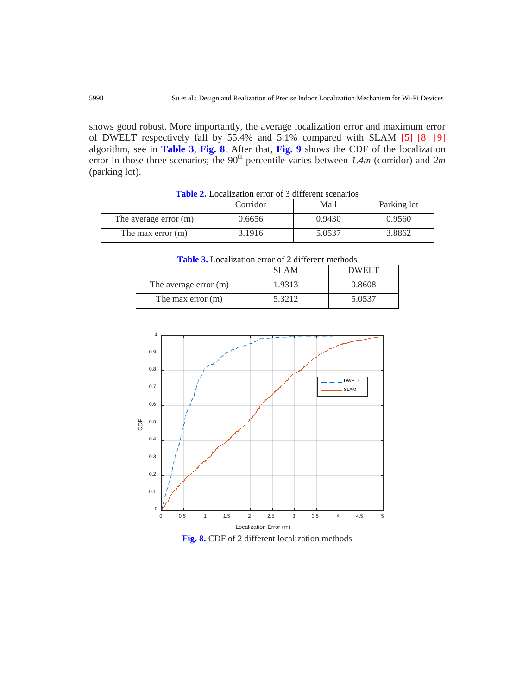shows good robust. More importantly, the average localization error and maximum error of DWELT respectively fall by 55.4% and 5.1% compared with SLAM [5] [8] [9] algorithm, see in **Table 3**, **Fig. 8**. After that, **Fig. 9** shows the CDF of the localization error in those three scenarios; the  $90<sup>th</sup>$  percentile varies between  $1.4m$  (corridor) and  $2m$ (parking lot).

|                       | Corridor | Mall   | Parking lot |
|-----------------------|----------|--------|-------------|
| The average error (m) | 0.6656   | 0.9430 | 0.9560      |
| The max error (m)     | 3.1916   | 5.0537 | 3.8862      |

**Table 2.** Localization error of 3 different scenarios

#### **Table 3.** Localization error of 2 different methods

|                       | <b>SLAM</b> | <b>DWEIT</b> |
|-----------------------|-------------|--------------|
| The average error (m) | 1.9313      | 0.8608       |
| The max error $(m)$   | 5.3212      | 5.0537       |



**Fig. 8.** CDF of 2 different localization methods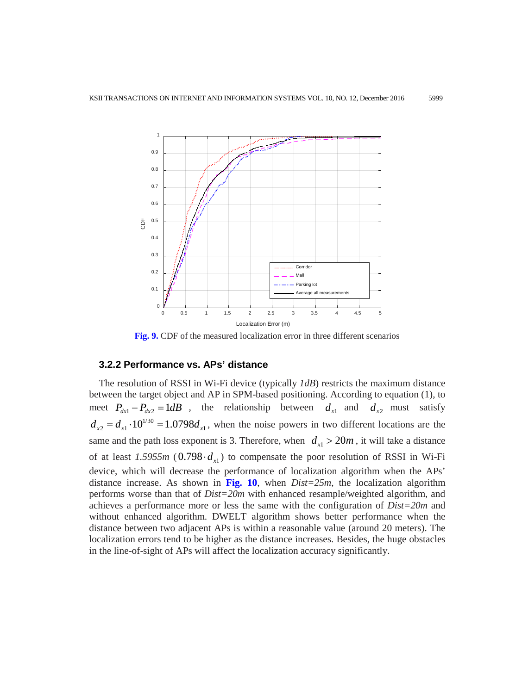

**Fig. 9.** CDF of the measured localization error in three different scenarios

# **3.2.2 Performance vs. APs' distance**

 The resolution of RSSI in Wi-Fi device (typically *1dB*) restricts the maximum distance between the target object and AP in SPM-based positioning. According to equation (1), to meet  $P_{dx1} - P_{dx2} = 1$ *dB*, the relationship between  $d_{x1}$  and  $d_{x2}$  must satisfy  $d_{x2} = d_{x1} \cdot 10^{1/30} = 1.0798 d_{x1}$ , when the noise powers in two different locations are the same and the path loss exponent is 3. Therefore, when  $d_{x} > 20m$ , it will take a distance of at least  $1.5955m (0.798 \cdot d_{x1})$  to compensate the poor resolution of RSSI in Wi-Fi device, which will decrease the performance of localization algorithm when the APs' distance increase. As shown in Fig. 10, when  $Dist=25m$ , the localization algorithm performs worse than that of *Dist=20m* with enhanced resample/weighted algorithm, and achieves a performance more or less the same with the configuration of *Dist=20m* and without enhanced algorithm. DWELT algorithm shows better performance when the distance between two adjacent APs is within a reasonable value (around 20 meters). The localization errors tend to be higher as the distance increases. Besides, the huge obstacles in the line-of-sight of APs will affect the localization accuracy significantly.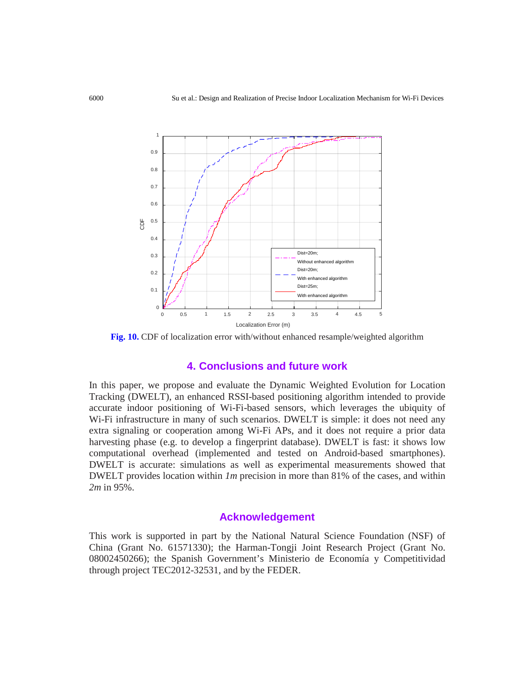

**Fig. 10.** CDF of localization error with/without enhanced resample/weighted algorithm

# **4. Conclusions and future work**

In this paper, we propose and evaluate the Dynamic Weighted Evolution for Location Tracking (DWELT), an enhanced RSSI-based positioning algorithm intended to provide accurate indoor positioning of Wi-Fi-based sensors, which leverages the ubiquity of Wi-Fi infrastructure in many of such scenarios. DWELT is simple: it does not need any extra signaling or cooperation among Wi-Fi APs, and it does not require a prior data harvesting phase (e.g. to develop a fingerprint database). DWELT is fast: it shows low computational overhead (implemented and tested on Android-based smartphones). DWELT is accurate: simulations as well as experimental measurements showed that DWELT provides location within *1m* precision in more than 81% of the cases, and within *2m* in 95%.

# **Acknowledgement**

This work is supported in part by the National Natural Science Foundation (NSF) of China (Grant No. 61571330); the Harman-Tongji Joint Research Project (Grant No. 08002450266); the Spanish Government's Ministerio de Economía y Competitividad through project TEC2012-32531, and by the FEDER.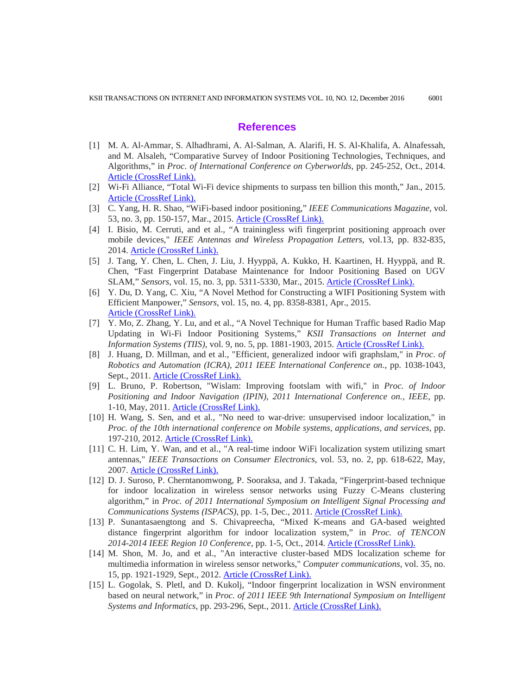### **References**

- [1] M. A. Al-Ammar, S. Alhadhrami, A. Al-Salman, A. Alarifi, H. S. Al-Khalifa, A. Alnafessah, and M. Alsaleh, "Comparative Survey of Indoor Positioning Technologies, Techniques, and Algorithms," in *Proc. of International Conference on Cyberworlds*, pp. 245-252, Oct., 2014. [Article \(CrossRef Link\).](http://dx.doi.org/10.1109/cw.2014.41)
- [2] Wi-Fi Alliance, "Total Wi-Fi device shipments to surpass ten billion this month," Jan., 2015. [Article \(CrossRef Link\).](http://www.wi-fi.org/news-events/newsroom/total-wi-fi-device-shipments-to-surpass-ten-billion-this-month)
- [3] C. Yang, H. R. Shao, "WiFi-based indoor positioning," *IEEE Communications Magazine*, vol. 53, no. 3, pp. 150-157, Mar., 2015[. Article \(CrossRef Link\).](http://dx.doi.org/10.1109/mcom.2015.7060497)
- [4] I. Bisio, M. Cerruti, and et al., "A trainingless wifi fingerprint positioning approach over mobile devices," *IEEE Antennas and Wireless Propagation Letters*, vol.13, pp. 832-835, 2014. [Article \(CrossRef Link\).](http://dx.doi.org/10.1109/lawp.2014.2316973)
- [5] J. Tang, Y. Chen, L. Chen, J. Liu, J. Hyyppä, A. Kukko, H. Kaartinen, H. Hyyppä, and R. Chen, "Fast Fingerprint Database Maintenance for Indoor Positioning Based on UGV SLAM," *Sensors*, vol. 15, no. 3, pp. 5311-5330, Mar., 2015. [Article \(CrossRef Link\).](http://dx.doi.org/10.3390/s150305311)
- [6] Y. Du, D. Yang, C. Xiu, "A Novel Method for Constructing a WIFI Positioning System with Efficient Manpower," *Sensors*, vol. 15, no. 4, pp. 8358-8381, Apr., 2015. [Article \(CrossRef Link\).](http://dx.doi.org/10.3390/s150408358)
- [7] Y. Mo, Z. Zhang, Y. Lu, and et al., "A Novel Technique for Human Traffic based Radio Map Updating in Wi-Fi Indoor Positioning Systems," *KSII Transactions on Internet and Information Systems (TIIS)*, vol. 9, no. 5, pp. 1881-1903, 2015[. Article \(CrossRef Link\).](http://dx.doi.org/10.3837/tiis.2015.05.019)
- [8] J. Huang, D. Millman, and et al., "Efficient, generalized indoor wifi graphslam," in *Proc. of Robotics and Automation (ICRA), 2011 IEEE International Conference on.*, pp. 1038-1043, Sept., 2011. [Article \(CrossRef Link\).](http://dx.doi.org/10.1109/icra.2011.5979643)
- [9] L. Bruno, P. Robertson, "Wislam: Improving footslam with wifi," in *Proc. of Indoor Positioning and Indoor Navigation (IPIN), 2011 International Conference on., IEEE*, pp. 1-10, May, 2011. [Article \(CrossRef Link\).](http://dx.doi.org/10.1109/ipin.2011.6071916)
- [10] H. Wang, S. Sen, and et al., "No need to war-drive: unsupervised indoor localization," in *Proc. of the 10th international conference on Mobile systems, applications, and services*, pp. 197-210, 2012. [Article \(CrossRef Link\).](http://dx.doi.org/10.1145/2307636.2307655)
- [11] C. H. Lim, Y. Wan, and et al., "A real-time indoor WiFi localization system utilizing smart antennas," *IEEE Transactions on Consumer Electronics*, vol. 53, no. 2, pp. 618-622, May, 2007. [Article \(CrossRef Link\).](http://dx.doi.org/10.1109/tce.2007.381737)
- [12] D. J. Suroso, P. Cherntanomwong, P. Sooraksa, and J. Takada, "Fingerprint-based technique for indoor localization in wireless sensor networks using Fuzzy C-Means clustering algorithm," in *Proc. of 2011 International Symposium on Intelligent Signal Processing and Communications Systems (ISPACS)*, pp. 1-5, Dec., 2011. [Article \(CrossRef Link\).](http://dx.doi.org/10.1109/ispacs.2011.6146167)
- [13] P. Sunantasaengtong and S. Chivapreecha, "Mixed K-means and GA-based weighted distance fingerprint algorithm for indoor localization system," in *Proc. of TENCON 2014-2014 IEEE Region 10 Conference*, pp. 1-5, Oct., 2014. [Article \(CrossRef Link\).](http://dx.doi.org/10.1109/tencon.2014.7022478)
- [14] M. Shon, M. Jo, and et al., "An interactive cluster-based MDS localization scheme for multimedia information in wireless sensor networks," *Computer communications*, vol. 35, no. 15, pp. 1921-1929, Sept., 2012. [Article \(CrossRef Link\).](http://dx.doi.org/10.1016/j.comcom.2012.05.002)
- [15] L. Gogolak, S. Pletl, and D. Kukolj, "Indoor fingerprint localization in WSN environment based on neural network," in *Proc. of 2011 IEEE 9th International Symposium on Intelligent Systems and Informatics*, pp. 293-296, Sept., 2011. [Article \(CrossRef Link\).](http://dx.doi.org/10.1109/sisy.2011.6034340)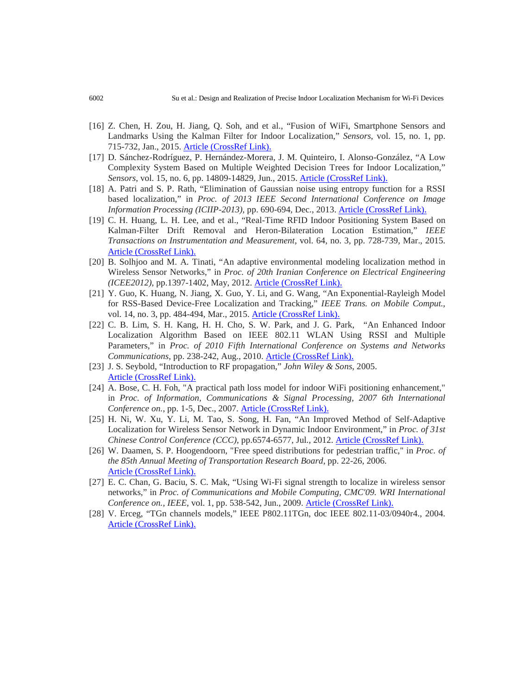- [16] Z. Chen, H. Zou, H. Jiang, Q. Soh, and et al., "Fusion of WiFi, Smartphone Sensors and Landmarks Using the Kalman Filter for Indoor Localization," *Sensors*, vol. 15, no. 1, pp. 715-732, Jan., 2015[. Article \(CrossRef Link\).](http://dx.doi.org/10.3390/s150100715)
- [17] D. Sánchez-Rodríguez, P. Hernández-Morera, J. M. Quinteiro, I. Alonso-González, "A Low Complexity System Based on Multiple Weighted Decision Trees for Indoor Localization," *Sensors*, vol. 15, no. 6, pp. 14809-14829, Jun., 2015. [Article \(CrossRef Link\).](http://dx.doi.org/10.3390/s150614809)
- [18] A. Patri and S. P. Rath, "Elimination of Gaussian noise using entropy function for a RSSI based localization," in *Proc. of 2013 IEEE Second International Conference on Image Information Processing (ICIIP-2013)*, pp. 690-694, Dec., 2013. [Article \(CrossRef Link\).](http://dx.doi.org/10.1109/iciip.2013.6707684)
- [19] C. H. Huang, L. H. Lee, and et al., "Real-Time RFID Indoor Positioning System Based on Kalman-Filter Drift Removal and Heron-Bilateration Location Estimation," *IEEE Transactions on Instrumentation and Measurement*, vol. 64, no. 3, pp. 728-739, Mar., 2015. [Article \(CrossRef Link\).](http://dx.doi.org/10.1109/tim.2014.2347691)
- [20] B. Solhjoo and M. A. Tinati, "An adaptive environmental modeling localization method in Wireless Sensor Networks," in *Proc. of 20th Iranian Conference on Electrical Engineering (ICEE2012)*, pp.1397-1402, May, 2012. [Article \(CrossRef Link\).](http://dx.doi.org/10.1109/iraniancee.2012.6292577)
- [21] Y. Guo, K. Huang, N. Jiang, X. Guo, Y. Li, and G. Wang, "An Exponential-Rayleigh Model for RSS-Based Device-Free Localization and Tracking," *IEEE Trans. on Mobile Comput.*, vol. 14, no. 3, pp. 484-494, Mar., 2015. [Article \(CrossRef Link\).](http://dx.doi.org/10.1109/tmc.2014.2329007)
- [22] C. B. Lim, S. H. Kang, H. H. Cho, S. W. Park, and J. G. Park, "An Enhanced Indoor Localization Algorithm Based on IEEE 802.11 WLAN Using RSSI and Multiple Parameters," in *Proc. of 2010 Fifth International Conference on Systems and Networks Communications*, pp. 238-242, Aug., 2010. [Article \(CrossRef Link\).](http://dx.doi.org/10.1109/icsnc.2010.44)
- [23] J. S. Seybold, "Introduction to RF propagation," *John Wiley & Sons*, 2005. [Article \(CrossRef Link\).](http://dx.doi.org/10.1002/0471743690)
- [24] A. Bose, C. H. Foh, "A practical path loss model for indoor WiFi positioning enhancement," in *Proc. of Information, Communications & Signal Processing, 2007 6th International Conference on.*, pp. 1-5, Dec., 2007. [Article \(CrossRef Link\).](http://dx.doi.org/10.1109/icics.2007.4449717)
- [25] H. Ni, W. Xu, Y. Li, M. Tao, S. Song, H. Fan, "An Improved Method of Self-Adaptive Localization for Wireless Sensor Network in Dynamic Indoor Environment," in *Proc. of 31st Chinese Control Conference (CCC)*, pp.6574-6577, Jul., 2012. [Article \(CrossRef Link\).](http://ieeexplore.ieee.org/document/6391093/)
- [26] W. Daamen, S. P. Hoogendoorn, "Free speed distributions for pedestrian traffic," in *Proc. of the 85th Annual Meeting of Transportation Research Board*, pp. 22-26, 2006. [Article \(CrossRef Link\).](http://dx.doi.org/10.1007/978-3-540-47064-9_2)
- [27] E. C. Chan, G. Baciu, S. C. Mak, "Using Wi-Fi signal strength to localize in wireless sensor networks," in *Proc. of Communications and Mobile Computing, CMC'09. WRI International Conference on., IEEE*, vol. 1, pp. 538-542, Jun., 2009. [Article \(CrossRef Link\).](http://dx.doi.org/10.1109/cmc.2009.233)
- [28] V. Erceg, "TGn channels models," IEEE P802.11TGn, doc IEEE 802.11-03/0940r4., 2004. [Article \(CrossRef Link\).](http://www.iitk.ac.in/mwn/papers/11-03-0940-01-000n-tgn-channel-models.pdf)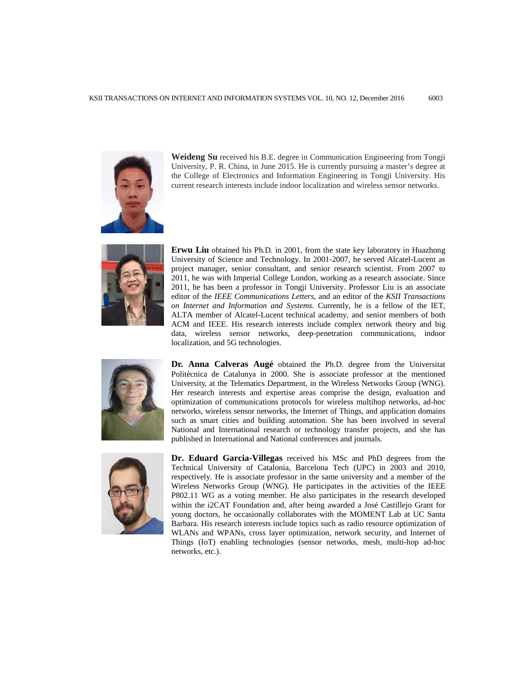

**Weideng Su** received his B.E. degree in Communication Engineering from Tongji University, P. R. China, in June 2015. He is currently pursuing a master's degree at the College of Electronics and Information Engineering in Tongji University. His current research interests include indoor localization and wireless sensor networks.



**Erwu Liu** obtained his Ph.D. in 2001, from the state key laboratory in Huazhong University of Science and Technology. In 2001-2007, he served Alcatel-Lucent as project manager, senior consultant, and senior research scientist. From 2007 to 2011, he was with Imperial College London, working as a research associate. Since 2011, he has been a professor in Tongji University. Professor Liu is an associate editor of the *IEEE Communications Letters*, and an editor of the *KSII Transactions on Internet and Information and Systems*. Currently, he is a fellow of the IET, ALTA member of Alcatel-Lucent technical academy, and senior members of both ACM and IEEE. His research interests include complex network theory and big data, wireless sensor networks, deep-penetration communications, indoor localization, and 5G technologies.



**Dr. Anna Calveras Augé** obtained the Ph.D. degree from the Universitat Politècnica de Catalunya in 2000. She is associate professor at the mentioned University, at the Telematics Department, in the Wireless Networks Group (WNG). Her research interests and expertise areas comprise the design, evaluation and optimization of communications protocols for wireless multihop networks, ad-hoc networks, wireless sensor networks, the Internet of Things, and application domains such as smart cities and building automation. She has been involved in several National and International research or technology transfer projects, and she has published in International and National conferences and journals.



**Dr. Eduard Garcia-Villegas** received his MSc and PhD degrees from the Technical University of Catalonia, Barcelona Tech (UPC) in 2003 and 2010, respectively. He is associate professor in the same university and a member of the Wireless Networks Group (WNG). He participates in the activities of the IEEE P802.11 WG as a voting member. He also participates in the research developed within the i2CAT Foundation and, after being awarded a José Castillejo Grant for young doctors, he occasionally collaborates with the MOMENT Lab at UC Santa Barbara. His research interests include topics such as radio resource optimization of WLANs and WPANs, cross layer optimization, network security, and Internet of Things (IoT) enabling technologies (sensor networks, mesh, multi-hop ad-hoc networks, etc.).